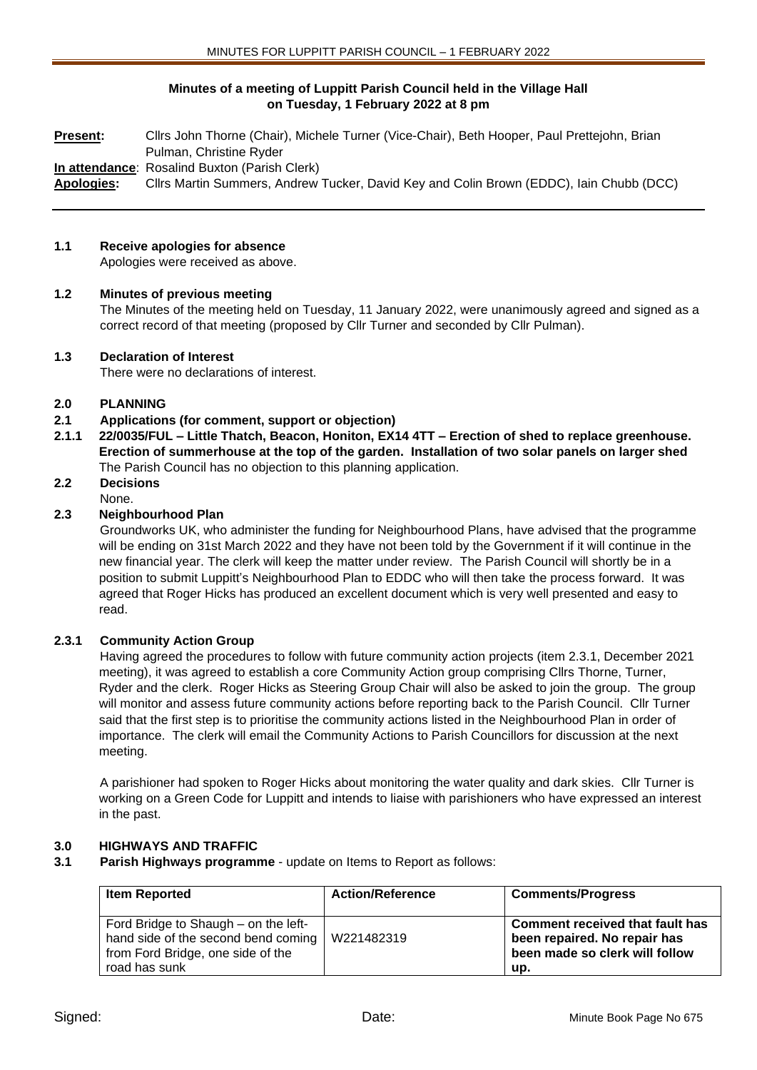# **Minutes of a meeting of Luppitt Parish Council held in the Village Hall on Tuesday, 1 February 2022 at 8 pm**

**Present:** Cllrs John Thorne (Chair), Michele Turner (Vice-Chair), Beth Hooper, Paul Prettejohn, Brian Pulman, Christine Ryder **In attendance**: Rosalind Buxton (Parish Clerk) **Apologies:** Cllrs Martin Summers, Andrew Tucker, David Key and Colin Brown (EDDC), Iain Chubb (DCC)

### **1.1 Receive apologies for absence**

Apologies were received as above.

### **1.2 Minutes of previous meeting**

The Minutes of the meeting held on Tuesday, 11 January 2022, were unanimously agreed and signed as a correct record of that meeting (proposed by Cllr Turner and seconded by Cllr Pulman).

### **1.3 Declaration of Interest**

There were no declarations of interest.

### **2.0 PLANNING**

- **2.1 Applications (for comment, support or objection)**
- **2.1.1 22/0035/FUL – Little Thatch, Beacon, Honiton, EX14 4TT – Erection of shed to replace greenhouse. Erection of summerhouse at the top of the garden. Installation of two solar panels on larger shed** The Parish Council has no objection to this planning application.

# **2.2 Decisions**

None.

# **2.3 Neighbourhood Plan**

Groundworks UK, who administer the funding for Neighbourhood Plans, have advised that the programme will be ending on 31st March 2022 and they have not been told by the Government if it will continue in the new financial year. The clerk will keep the matter under review. The Parish Council will shortly be in a position to submit Luppitt's Neighbourhood Plan to EDDC who will then take the process forward. It was agreed that Roger Hicks has produced an excellent document which is very well presented and easy to read.

# **2.3.1 Community Action Group**

Having agreed the procedures to follow with future community action projects (item 2.3.1, December 2021 meeting), it was agreed to establish a core Community Action group comprising Cllrs Thorne, Turner, Ryder and the clerk. Roger Hicks as Steering Group Chair will also be asked to join the group. The group will monitor and assess future community actions before reporting back to the Parish Council. Cllr Turner said that the first step is to prioritise the community actions listed in the Neighbourhood Plan in order of importance. The clerk will email the Community Actions to Parish Councillors for discussion at the next meeting.

A parishioner had spoken to Roger Hicks about monitoring the water quality and dark skies. Cllr Turner is working on a Green Code for Luppitt and intends to liaise with parishioners who have expressed an interest in the past.

# **3.0 HIGHWAYS AND TRAFFIC**

**3.1 Parish Highways programme** - update on Items to Report as follows:

| <b>Item Reported</b>                                                                                                              | <b>Action/Reference</b> | <b>Comments/Progress</b>                                                                                        |
|-----------------------------------------------------------------------------------------------------------------------------------|-------------------------|-----------------------------------------------------------------------------------------------------------------|
| Ford Bridge to Shaugh – on the left-<br>hand side of the second bend coming<br>from Ford Bridge, one side of the<br>road has sunk | W221482319              | <b>Comment received that fault has</b><br>been repaired. No repair has<br>been made so clerk will follow<br>up. |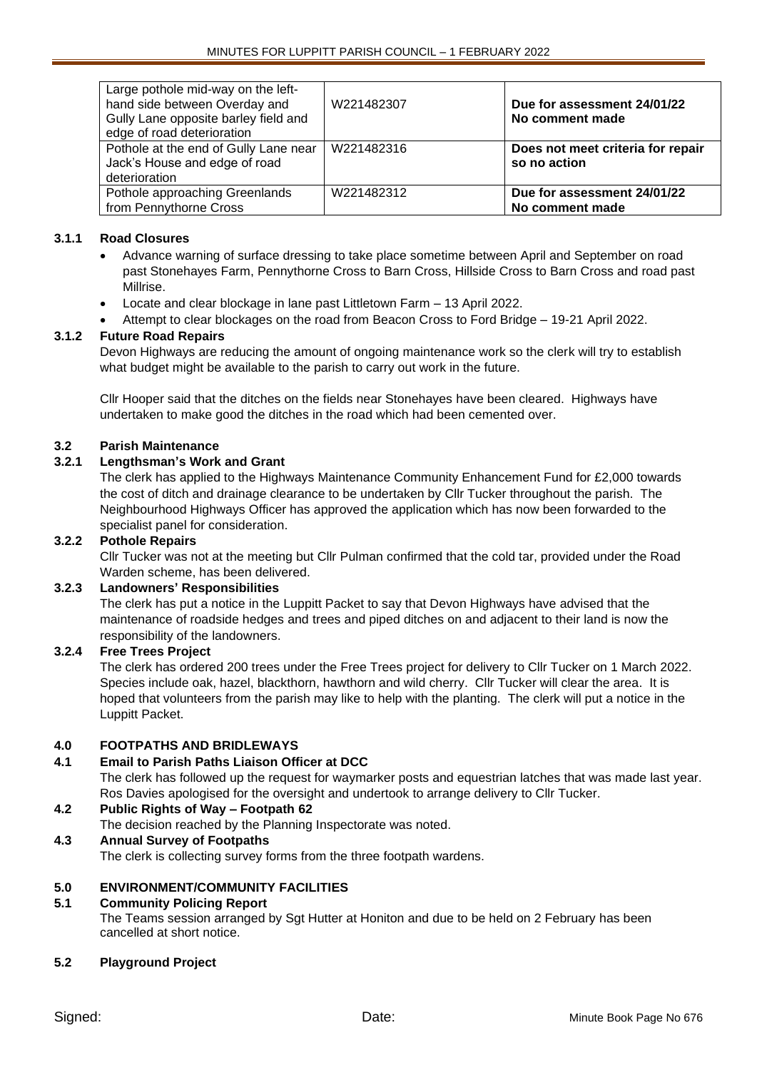| Large pothole mid-way on the left-<br>hand side between Overday and<br>Gully Lane opposite barley field and<br>edge of road deterioration | W221482307 | Due for assessment 24/01/22<br>No comment made    |
|-------------------------------------------------------------------------------------------------------------------------------------------|------------|---------------------------------------------------|
| Pothole at the end of Gully Lane near<br>Jack's House and edge of road<br>deterioration                                                   | W221482316 | Does not meet criteria for repair<br>so no action |
| Pothole approaching Greenlands<br>from Pennythorne Cross                                                                                  | W221482312 | Due for assessment 24/01/22<br>No comment made    |

# **3.1.1 Road Closures**

- Advance warning of surface dressing to take place sometime between April and September on road past Stonehayes Farm, Pennythorne Cross to Barn Cross, Hillside Cross to Barn Cross and road past Millrise.
- Locate and clear blockage in lane past Littletown Farm 13 April 2022.
- Attempt to clear blockages on the road from Beacon Cross to Ford Bridge 19-21 April 2022.

### **3.1.2 Future Road Repairs**

Devon Highways are reducing the amount of ongoing maintenance work so the clerk will try to establish what budget might be available to the parish to carry out work in the future.

Cllr Hooper said that the ditches on the fields near Stonehayes have been cleared. Highways have undertaken to make good the ditches in the road which had been cemented over.

### **3.2 Parish Maintenance**

### **3.2.1 Lengthsman's Work and Grant**

The clerk has applied to the Highways Maintenance Community Enhancement Fund for £2,000 towards the cost of ditch and drainage clearance to be undertaken by Cllr Tucker throughout the parish. The Neighbourhood Highways Officer has approved the application which has now been forwarded to the specialist panel for consideration.

### **3.2.2 Pothole Repairs**

Cllr Tucker was not at the meeting but Cllr Pulman confirmed that the cold tar, provided under the Road Warden scheme, has been delivered.

### **3.2.3 Landowners' Responsibilities**

The clerk has put a notice in the Luppitt Packet to say that Devon Highways have advised that the maintenance of roadside hedges and trees and piped ditches on and adjacent to their land is now the responsibility of the landowners.

# **3.2.4 Free Trees Project**

The clerk has ordered 200 trees under the Free Trees project for delivery to Cllr Tucker on 1 March 2022. Species include oak, hazel, blackthorn, hawthorn and wild cherry. Cllr Tucker will clear the area. It is hoped that volunteers from the parish may like to help with the planting. The clerk will put a notice in the Luppitt Packet.

### **4.0 FOOTPATHS AND BRIDLEWAYS**

# **4.1 Email to Parish Paths Liaison Officer at DCC**

The clerk has followed up the request for waymarker posts and equestrian latches that was made last year. Ros Davies apologised for the oversight and undertook to arrange delivery to Cllr Tucker.

# **4.2 Public Rights of Way – Footpath 62**

The decision reached by the Planning Inspectorate was noted.

### **4.3 Annual Survey of Footpaths**

The clerk is collecting survey forms from the three footpath wardens.

# **5.0 ENVIRONMENT/COMMUNITY FACILITIES**

### **5.1 Community Policing Report**

The Teams session arranged by Sgt Hutter at Honiton and due to be held on 2 February has been cancelled at short notice.

### **5.2 Playground Project**